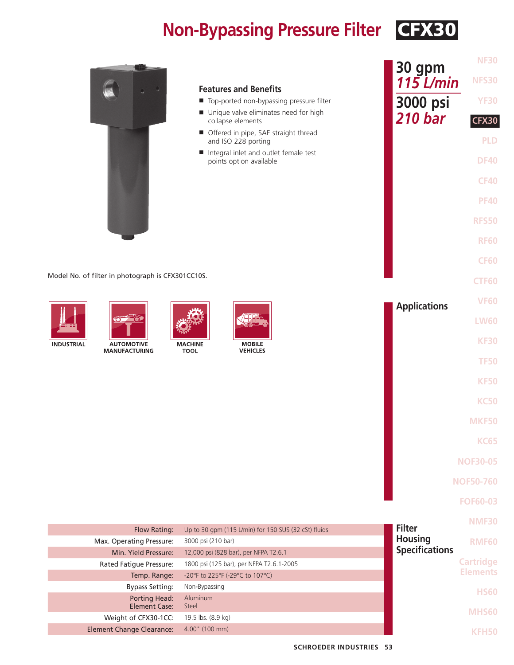## **Non-Bypassing Pressure Filter CFX30**

|                                                   |                                                                             | <b>NF30</b><br>30 gpm               |  |
|---------------------------------------------------|-----------------------------------------------------------------------------|-------------------------------------|--|
|                                                   |                                                                             | <b>NFS30</b><br>$115$ L/min         |  |
|                                                   | <b>Features and Benefits</b><br>Top-ported non-bypassing pressure filter    | 3000 psi<br><b>YF30</b>             |  |
|                                                   | Unique valve eliminates need for high<br>collapse elements                  | <b>210 bar</b><br><b>CFX30</b>      |  |
|                                                   | Offered in pipe, SAE straight thread                                        | <b>PLD</b>                          |  |
|                                                   | and ISO 228 porting<br>Integral inlet and outlet female test                |                                     |  |
|                                                   | points option available                                                     | <b>DF40</b>                         |  |
|                                                   |                                                                             | <b>CF40</b>                         |  |
|                                                   |                                                                             | <b>PF40</b>                         |  |
|                                                   |                                                                             | <b>RFS50</b>                        |  |
|                                                   |                                                                             |                                     |  |
|                                                   |                                                                             | <b>RF60</b>                         |  |
|                                                   |                                                                             | <b>CF60</b>                         |  |
| Model No. of filter in photograph is CFX301CC10S. |                                                                             | <b>CTF60</b>                        |  |
|                                                   |                                                                             | <b>VF60</b>                         |  |
|                                                   |                                                                             | <b>Applications</b>                 |  |
| $\circ$ $\circ$                                   |                                                                             | <b>LW60</b>                         |  |
| <b>INDUSTRIAL</b><br><b>AUTOMOTIVE</b>            | <b>MOBILE</b><br><b>MACHINE</b>                                             | <b>KF30</b>                         |  |
| <b>MANUFACTURING</b>                              | <b>VEHICLES</b><br><b>TOOL</b>                                              | <b>TF50</b>                         |  |
|                                                   |                                                                             | <b>KF50</b>                         |  |
|                                                   |                                                                             |                                     |  |
|                                                   |                                                                             | <b>KC50</b>                         |  |
|                                                   |                                                                             | <b>MKF50</b>                        |  |
|                                                   |                                                                             | <b>KC65</b>                         |  |
|                                                   |                                                                             | <b>NOF30-05</b>                     |  |
|                                                   |                                                                             |                                     |  |
|                                                   |                                                                             | <b>NOF50-760</b>                    |  |
|                                                   |                                                                             | <b>FOF60-03</b>                     |  |
|                                                   |                                                                             | <b>NMF30</b><br><b>Filter</b>       |  |
| Flow Rating:<br>Max. Operating Pressure:          | Up to 30 gpm (115 L/min) for 150 SUS (32 cSt) fluids<br>3000 psi (210 bar)  | <b>Housing</b><br><b>RMF60</b>      |  |
| Min. Yield Pressure:                              | 12,000 psi (828 bar), per NFPA T2.6.1                                       | <b>Specifications</b>               |  |
| Rated Fatigue Pressure:<br>Temp. Range:           | 1800 psi (125 bar), per NFPA T2.6.1-2005<br>-20°F to 225°F (-29°C to 107°C) | <b>Cartridge</b><br><b>Elements</b> |  |
| <b>Bypass Setting:</b>                            | Non-Bypassing                                                               | <b>HS60</b>                         |  |
| <b>Porting Head:</b><br><b>Element Case:</b>      | Aluminum<br>Steel                                                           |                                     |  |
| Weight of CFX30-1CC:                              | 19.5 lbs. (8.9 kg)                                                          | <b>MHS60</b>                        |  |
| <b>Element Change Clearance:</b>                  | 4.00" (100 mm)                                                              | <b>KFH50</b>                        |  |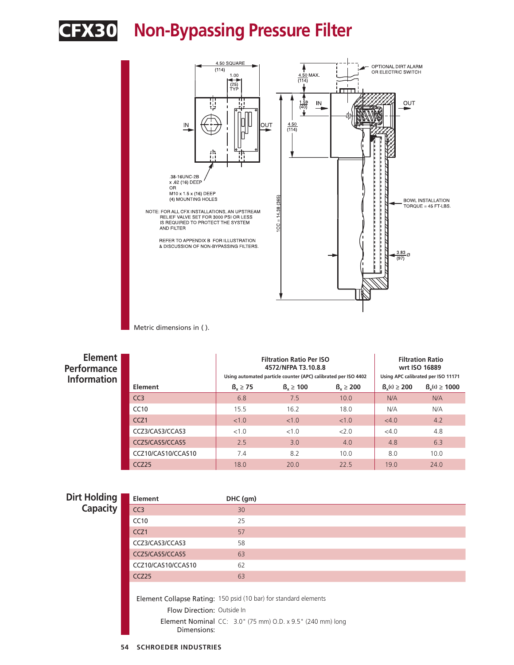

### CFX30 **Non-Bypassing Pressure Filter**



Metric dimensions in ( ).

| Element  <br>Performance<br><b>Information</b> |                    |               | <b>Filtration Ratio Per ISO</b><br>4572/NFPA T3.10.8.8<br>Using automated particle counter (APC) calibrated per ISO 4402 | <b>Filtration Ratio</b><br>wrt ISO 16889<br>Using APC calibrated per ISO 11171 |                    |                     |
|------------------------------------------------|--------------------|---------------|--------------------------------------------------------------------------------------------------------------------------|--------------------------------------------------------------------------------|--------------------|---------------------|
|                                                | Element            | $B_x \geq 75$ | $B_x \ge 100$                                                                                                            | $B_x \ge 200$                                                                  | $B_{v}(c) \ge 200$ | $B_{x}(c) \ge 1000$ |
|                                                | CC <sub>3</sub>    | 6.8           | 7.5                                                                                                                      | 10.0                                                                           | N/A                | N/A                 |
|                                                | CC10               | 15.5          | 16.2                                                                                                                     | 18.0                                                                           | N/A                | N/A                 |
|                                                | CCZ <sub>1</sub>   | < 1.0         | <1.0                                                                                                                     | < 1.0                                                                          | <4.0               | 4.2                 |
|                                                | CCZ3/CAS3/CCAS3    | < 1.0         | <1.0                                                                                                                     | 2.0                                                                            | <4.0               | 4.8                 |
|                                                | CCZ5/CAS5/CCAS5    | 2.5           | 3.0                                                                                                                      | 4.0                                                                            | 4.8                | 6.3                 |
|                                                | CCZ10/CAS10/CCAS10 | 7.4           | 8.2                                                                                                                      | 10.0                                                                           | 8.0                | 10.0                |
|                                                | CCZ25              | 18.0          | 20.0                                                                                                                     | 22.5                                                                           | 19.0               | 24.0                |

| Dirt Holding    | <b>Element</b>                                                   | DHC (gm)                                                          |  |  |  |
|-----------------|------------------------------------------------------------------|-------------------------------------------------------------------|--|--|--|
| <b>Capacity</b> | CC3                                                              | 30                                                                |  |  |  |
|                 | CC10                                                             | 25                                                                |  |  |  |
|                 | CCZ <sub>1</sub>                                                 | 57                                                                |  |  |  |
|                 | CCZ3/CAS3/CCAS3                                                  | 58                                                                |  |  |  |
|                 | CCZ5/CAS5/CCAS5                                                  | 63                                                                |  |  |  |
|                 | CCZ10/CAS10/CCAS10                                               | 62                                                                |  |  |  |
|                 | CCZ <sub>25</sub>                                                | 63                                                                |  |  |  |
|                 |                                                                  |                                                                   |  |  |  |
|                 | Element Collapse Rating: 150 psid (10 bar) for standard elements |                                                                   |  |  |  |
|                 | Flow Direction: Outside In                                       |                                                                   |  |  |  |
|                 | Dimensions:                                                      | <b>Element Nominal</b> CC: 3.0" (75 mm) O.D. x 9.5" (240 mm) long |  |  |  |
|                 |                                                                  |                                                                   |  |  |  |

#### **54 SCHROEDER INDUSTRIES**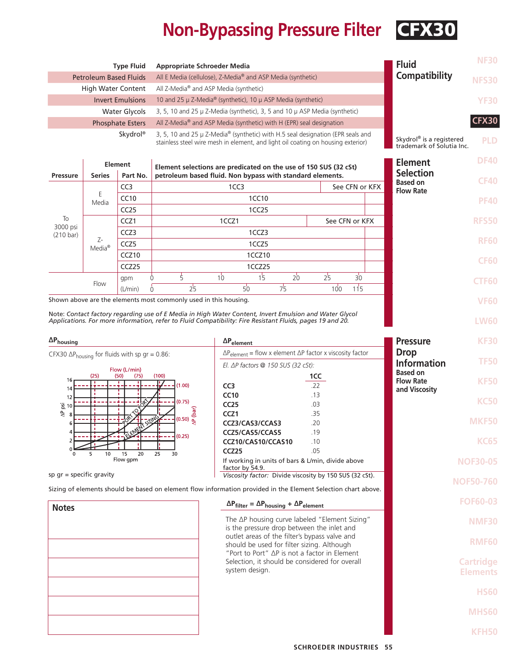# **Non-Bypassing Pressure Filter CFX30**

| <b>Type Fluid</b><br><b>Appropriate Schroeder Media</b>                                 |                                                                                                    |                            |                                                                  |                                                                                                                                                                                                                     |                                                                                                                                           |                |                                                       | <b>Fluid</b>                        | <b>NF30</b>                         |
|-----------------------------------------------------------------------------------------|----------------------------------------------------------------------------------------------------|----------------------------|------------------------------------------------------------------|---------------------------------------------------------------------------------------------------------------------------------------------------------------------------------------------------------------------|-------------------------------------------------------------------------------------------------------------------------------------------|----------------|-------------------------------------------------------|-------------------------------------|-------------------------------------|
| <b>Petroleum Based Fluids</b>                                                           |                                                                                                    |                            | All E Media (cellulose), Z-Media® and ASP Media (synthetic)      |                                                                                                                                                                                                                     |                                                                                                                                           |                | Compatibility                                         | <b>NFS30</b>                        |                                     |
|                                                                                         | All Z-Media <sup>®</sup> and ASP Media (synthetic)<br><b>High Water Content</b>                    |                            |                                                                  |                                                                                                                                                                                                                     |                                                                                                                                           |                |                                                       |                                     |                                     |
| 10 and 25 μ Z-Media® (synthetic), 10 μ ASP Media (synthetic)<br><b>Invert Emulsions</b> |                                                                                                    |                            |                                                                  |                                                                                                                                                                                                                     |                                                                                                                                           | <b>YF30</b>    |                                                       |                                     |                                     |
|                                                                                         | 3, 5, 10 and 25 µ Z-Media (synthetic), 3, 5 and 10 µ ASP Media (synthetic)<br><b>Water Glycols</b> |                            |                                                                  |                                                                                                                                                                                                                     |                                                                                                                                           | <b>CFX30</b>   |                                                       |                                     |                                     |
|                                                                                         | <b>Phosphate Esters</b><br>All Z-Media® and ASP Media (synthetic) with H (EPR) seal designation    |                            |                                                                  |                                                                                                                                                                                                                     |                                                                                                                                           |                |                                                       |                                     |                                     |
| Skydrol®                                                                                |                                                                                                    |                            |                                                                  | 3, 5, 10 and 25 µ Z-Media <sup>®</sup> (synthetic) with H.5 seal designation (EPR seals and<br>stainless steel wire mesh in element, and light oil coating on housing exterior)                                     |                                                                                                                                           |                | Skydrol® is a registered<br>trademark of Solutia Inc. | <b>PLD</b>                          |                                     |
| <b>Pressure</b>                                                                         | <b>Series</b>                                                                                      | <b>Element</b><br>Part No. |                                                                  | Element selections are predicated on the use of 150 SUS (32 cSt)<br>petroleum based fluid. Non bypass with standard elements.                                                                                       |                                                                                                                                           |                |                                                       |                                     | <b>DF40</b>                         |
|                                                                                         |                                                                                                    | CC <sub>3</sub>            |                                                                  | 1CC <sub>3</sub>                                                                                                                                                                                                    |                                                                                                                                           |                | See CFN or KFX                                        | <b>Selection</b><br><b>Based on</b> | <b>CF40</b>                         |
|                                                                                         | Ε                                                                                                  | CC10                       |                                                                  | 1CC10                                                                                                                                                                                                               |                                                                                                                                           |                |                                                       | <b>Flow Rate</b>                    | <b>PF40</b>                         |
|                                                                                         | Media                                                                                              | CC25                       |                                                                  | 1CC <sub>25</sub>                                                                                                                                                                                                   |                                                                                                                                           |                |                                                       |                                     |                                     |
| To                                                                                      |                                                                                                    | CCZ1                       |                                                                  | 1CCZ1                                                                                                                                                                                                               |                                                                                                                                           |                | See CFN or KFX                                        |                                     | <b>RFS50</b>                        |
| 3000 psi<br>$(210 \text{ bar})$                                                         |                                                                                                    | CCZ3                       |                                                                  | 1CCZ3                                                                                                                                                                                                               |                                                                                                                                           |                |                                                       |                                     |                                     |
|                                                                                         | Z-<br>Media <sup>®</sup>                                                                           | CCZ5                       |                                                                  | 1CCZ5                                                                                                                                                                                                               |                                                                                                                                           |                |                                                       |                                     | <b>RF60</b>                         |
|                                                                                         |                                                                                                    | CCZ <sub>10</sub>          |                                                                  | 1CCZ10                                                                                                                                                                                                              |                                                                                                                                           |                |                                                       |                                     | <b>CF60</b>                         |
|                                                                                         |                                                                                                    | CCZ25                      |                                                                  | 1CCZ25                                                                                                                                                                                                              |                                                                                                                                           |                |                                                       |                                     |                                     |
|                                                                                         | Flow                                                                                               | gpm                        | $\frac{1}{5}$<br>0                                               | 1 <sup>1</sup><br>$10^{\circ}$                                                                                                                                                                                      | $20^{\circ}$                                                                                                                              | 2 <sup>1</sup> | 30 <sup>°</sup>                                       |                                     | <b>CTF60</b>                        |
|                                                                                         |                                                                                                    | (L/min)                    | 2 <sup>1</sup><br>$\Omega$                                       | $50^{\circ}$                                                                                                                                                                                                        | 7 <sup>1</sup>                                                                                                                            | 100            | 115                                                   |                                     |                                     |
|                                                                                         |                                                                                                    |                            | Shown above are the elements most commonly used in this housing. |                                                                                                                                                                                                                     |                                                                                                                                           |                |                                                       |                                     | <b>VF60</b>                         |
|                                                                                         |                                                                                                    |                            |                                                                  | Note: Contact factory regarding use of E Media in High Water Content, Invert Emulsion and Water Glycol<br>Applications. For more information, refer to Fluid Compatibility: Fire Resistant Fluids, pages 19 and 20. |                                                                                                                                           |                |                                                       |                                     | <b>LW60</b>                         |
| $\Delta P_{\text{housing}}$                                                             |                                                                                                    |                            |                                                                  | $\Delta P_{element}$                                                                                                                                                                                                |                                                                                                                                           |                |                                                       | <b>Pressure</b>                     | <b>KF30</b>                         |
| CFX30 $\Delta P_{\text{housing}}$ for fluids with sp gr = 0.86:                         |                                                                                                    |                            |                                                                  |                                                                                                                                                                                                                     | $\Delta P_{element}$ = flow x element $\Delta P$ factor x viscosity factor<br>El. $\Delta P$ factors @ 150 SUS (32 cSt):                  |                |                                                       | <b>Drop</b><br><b>Information</b>   |                                     |
|                                                                                         |                                                                                                    | Flow (L/min)               |                                                                  |                                                                                                                                                                                                                     |                                                                                                                                           |                |                                                       |                                     | <b>TF50</b>                         |
| 16                                                                                      | (25)                                                                                               | (50)<br>(75)               | (100)                                                            |                                                                                                                                                                                                                     |                                                                                                                                           | 1CC            |                                                       | <b>Based on</b><br><b>Flow Rate</b> | <b>KF50</b>                         |
| 14                                                                                      |                                                                                                    |                            | (1.00)                                                           | CC <sub>3</sub>                                                                                                                                                                                                     |                                                                                                                                           | .22            |                                                       | and Viscosity                       |                                     |
| 12<br>$\overline{8}$ 10                                                                 |                                                                                                    |                            | (0.75)                                                           | <b>CC10</b><br><b>CC25</b>                                                                                                                                                                                          |                                                                                                                                           | .13<br>.03     |                                                       |                                     | <b>KC50</b>                         |
| 48                                                                                      |                                                                                                    |                            | (0.50) <u>န</u>                                                  | CCZ <sub>1</sub>                                                                                                                                                                                                    |                                                                                                                                           | .35            |                                                       |                                     |                                     |
|                                                                                         |                                                                                                    |                            |                                                                  | CCZ3/CAS3/CCAS3                                                                                                                                                                                                     |                                                                                                                                           | .20            |                                                       |                                     | MKF50                               |
| $\overline{4}$                                                                          |                                                                                                    |                            | (0.25)                                                           | CCZ5/CAS5/CCAS5<br>CCZ10/CAS10/CCAS10                                                                                                                                                                               |                                                                                                                                           | .19<br>.10     |                                                       |                                     | <b>KC65</b>                         |
|                                                                                         | 10 <sup>2</sup>                                                                                    | 20<br>15                   | 25<br>30                                                         | CCZ25                                                                                                                                                                                                               |                                                                                                                                           | .05            |                                                       |                                     |                                     |
|                                                                                         |                                                                                                    | Flow gpm                   |                                                                  | If working in units of bars & L/min, divide above<br>factor by 54.9.                                                                                                                                                |                                                                                                                                           |                |                                                       |                                     | <b>NOF30-05</b>                     |
| sp $gr = specific gravity$                                                              |                                                                                                    |                            |                                                                  | Viscosity factor: Divide viscosity by 150 SUS (32 cSt).<br>Sizing of elements should be based on element flow information provided in the Element Selection chart above.                                            |                                                                                                                                           |                |                                                       |                                     | <b>NOF50-760</b>                    |
| <b>Notes</b>                                                                            |                                                                                                    |                            |                                                                  | $\Delta P_{filter} = \Delta P_{housing} + \Delta P_{element}$                                                                                                                                                       |                                                                                                                                           |                |                                                       |                                     | <b>FOF60-03</b>                     |
|                                                                                         |                                                                                                    |                            |                                                                  | The ∆P housing curve labeled "Element Sizing"                                                                                                                                                                       |                                                                                                                                           |                |                                                       | <b>NMF30</b>                        |                                     |
|                                                                                         |                                                                                                    |                            |                                                                  |                                                                                                                                                                                                                     | is the pressure drop between the inlet and<br>outlet areas of the filter's bypass valve and<br>should be used for filter sizing. Although |                |                                                       |                                     | <b>RMF60</b>                        |
|                                                                                         |                                                                                                    |                            |                                                                  | "Port to Port" AP is not a factor in Element<br>Selection, it should be considered for overall<br>system design.                                                                                                    |                                                                                                                                           |                |                                                       |                                     | <b>Cartridge</b><br><b>Elements</b> |
|                                                                                         |                                                                                                    |                            |                                                                  |                                                                                                                                                                                                                     |                                                                                                                                           |                |                                                       |                                     | <b>HS60</b>                         |
|                                                                                         |                                                                                                    |                            |                                                                  |                                                                                                                                                                                                                     |                                                                                                                                           |                |                                                       |                                     | <b>MHS60</b>                        |
|                                                                                         |                                                                                                    |                            |                                                                  |                                                                                                                                                                                                                     |                                                                                                                                           |                |                                                       |                                     | KFH50                               |